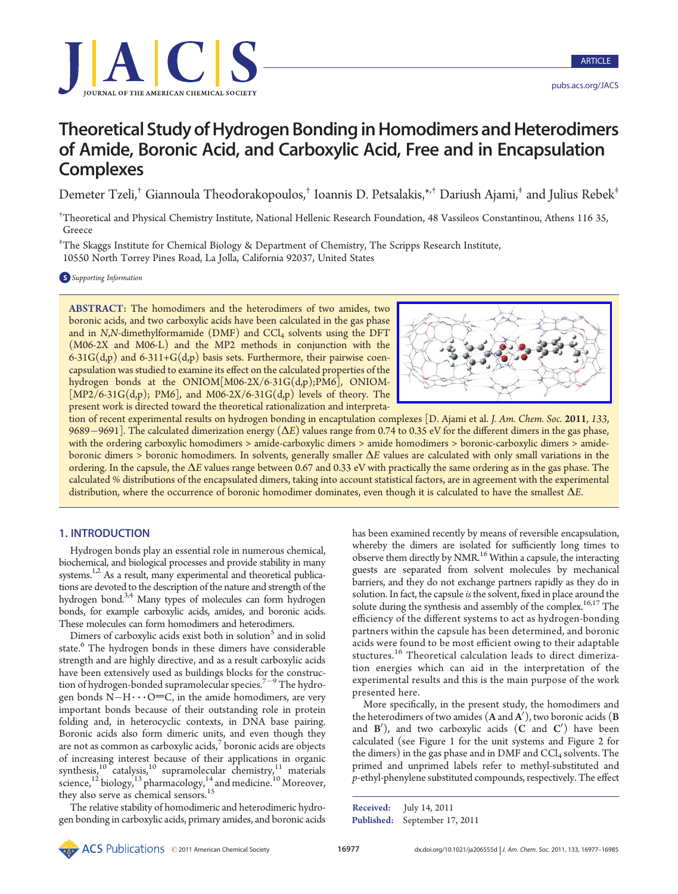

# Theoretical Study of Hydrogen Bonding in Homodimers and Heterodimers of Amide, Boronic Acid, and Carboxylic Acid, Free and in Encapsulation **Complexes**

Demeter Tzeli,† Giannoula Theodorakopoulos,† Ioannis D. Petsalakis,\*,† Dariush Ajami,‡ and Julius Rebek‡

† Theoretical and Physical Chemistry Institute, National Hellenic Research Foundation, 48 Vassileos Constantinou, Athens 116 35, Greece

‡ The Skaggs Institute for Chemical Biology & Department of Chemistry, The Scripps Research Institute, 10550 North Torrey Pines Road, La Jolla, California 92037, United States

**S** Supporting Information

ABSTRACT: The homodimers and the heterodimers of two amides, two boronic acids, and two carboxylic acids have been calculated in the gas phase and in  $N$ , $N$ -dimethylformamide (DMF) and  $CCl<sub>4</sub>$  solvents using the DFT (M06-2X and M06-L) and the MP2 methods in conjunction with the 6-31G( $d$ ,p) and 6-311+G( $d$ ,p) basis sets. Furthermore, their pairwise coencapsulation was studied to examine its effect on the calculated properties of the hydrogen bonds at the ONIOM[M06-2X/6-31G(d,p);PM6], ONIOM-  $[MP2/6-31G(d,p); PMG]$ , and M06-2X/6-31G(d,p) levels of theory. The present work is directed toward the theoretical rationalization and interpreta-



tion of recent experimental results on hydrogen bonding in encaptulation complexes [D. Ajami et al. J. Am. Chem. Soc. 2011, 133, 9689–9691]. The calculated dimerization energy  $(\Delta E)$  values range from 0.74 to 0.35 eV for the different dimers in the gas phase, with the ordering carboxylic homodimers > amide-carboxylic dimers > amide homodimers > boronic-carboxylic dimers > amideboronic dimers > boronic homodimers. In solvents, generally smaller ΔE values are calculated with only small variations in the ordering. In the capsule, the ΔE values range between 0.67 and 0.33 eV with practically the same ordering as in the gas phase. The calculated % distributions of the encapsulated dimers, taking into account statistical factors, are in agreement with the experimental distribution, where the occurrence of boronic homodimer dominates, even though it is calculated to have the smallest ΔE.

## 1. INTRODUCTION

Hydrogen bonds play an essential role in numerous chemical, biochemical, and biological processes and provide stability in many systems.<sup>1,2</sup> As a result, many experimental and theoretical publications are devoted to the description of the nature and strength of the hydrogen bond.3,4 Many types of molecules can form hydrogen bonds, for example carboxylic acids, amides, and boronic acids. These molecules can form homodimers and heterodimers.

Dimers of carboxylic acids exist both in solution<sup>5</sup> and in solid state.<sup>6</sup> The hydrogen bonds in these dimers have considerable strength and are highly directive, and as a result carboxylic acids have been extensively used as buildings blocks for the construction of hydrogen-bonded supramolecular species.<sup>7–9</sup> The hydrogen bonds  $N-H \cdots O=C$ , in the amide homodimers, are very important bonds because of their outstanding role in protein folding and, in heterocyclic contexts, in DNA base pairing. Boronic acids also form dimeric units, and even though they are not as common as carboxylic acids, $\frac{7}{7}$  boronic acids are objects of increasing interest because of their applications in organic synthesis, $10$  catalysis, $10$  supramolecular chemistry, $11$  materials science,<sup>12</sup> biology,<sup>13</sup> pharmacology,<sup>14</sup> and medicine.<sup>10</sup> Moreover, they also serve as chemical sensors.<sup>15</sup>

The relative stability of homodimeric and heterodimeric hydrogen bonding in carboxylic acids, primary amides, and boronic acids

reasons and particles of the chemical Society 1697 and 1897 distinct a specific term of the chemical Society 1697<br>
Northern the chemical Society 1697 and the chemical Society 1697 and the chemical Society 1697–1698 ARTICL has been examined recently by means of reversible encapsulation, whereby the dimers are isolated for sufficiently long times to observe them directly by NMR.<sup>16</sup> Within a capsule, the interacting guests are separated from solvent molecules by mechanical barriers, and they do not exchange partners rapidly as they do in solution. In fact, the capsule is the solvent, fixed in place around the solute during the synthesis and assembly of the complex.<sup>16,17</sup> The efficiency of the different systems to act as hydrogen-bonding partners within the capsule has been determined, and boronic acids were found to be most efficient owing to their adaptable stuctures.<sup>16</sup> Theoretical calculation leads to direct dimerization energies which can aid in the interpretation of the experimental results and this is the main purpose of the work presented here.

More specifically, in the present study, the homodimers and the heterodimers of two amides  $(\mathbf{A}% _{\alpha})$  and  $\mathbf{A}^{\prime})$ , two boronic acids  $(\mathbf{B}% _{\alpha})$ and  $B'$ ), and two carboxylic acids  $(C \text{ and } C')$  have been calculated (see Figure 1 for the unit systems and Figure 2 for the dimers) in the gas phase and in DMF and  $CCl<sub>4</sub>$  solvents. The primed and unprimed labels refer to methyl-substituted and p-ethyl-phenylene substituted compounds, respectively. The effect

Published: September 17, 2011 Received: July 14, 2011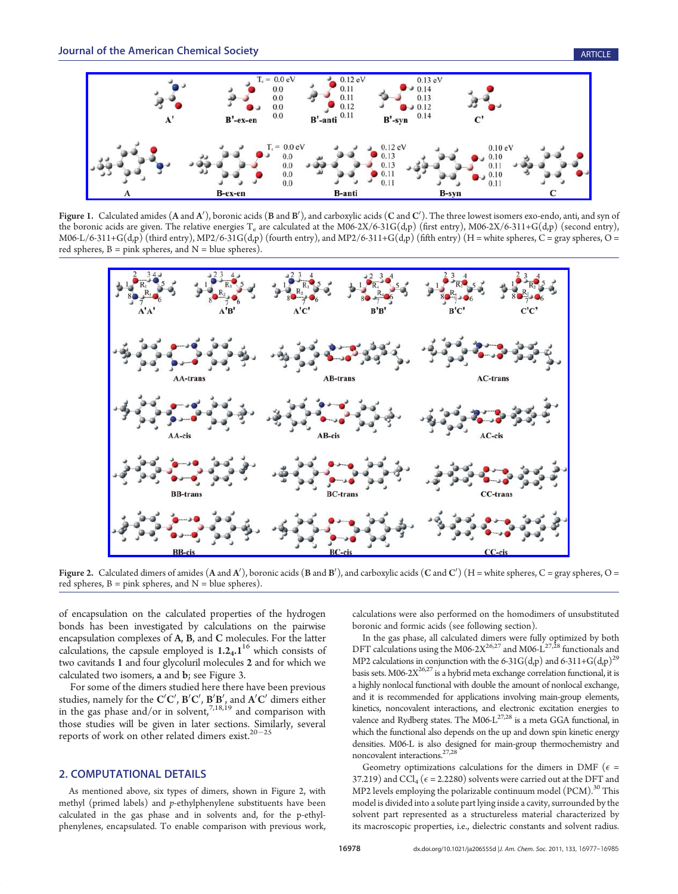

**Figure 1.** Calculated amides  $(A \text{ and } A')$ , boronic acids  $(B \text{ and } B')$ , and carboxylic acids  $(C \text{ and } C')$ . The three lowest isomers exo-endo, anti, and syn of the boronic acids are given. The relative energies  $T_e$  are calculated at the M06-2X/6-31G(d,p) (first entry), M06-2X/6-311+G(d,p) (second entry), M06-L/6-311+G(d,p) (third entry), MP2/6-31G(d,p) (fourth entry), and MP2/6-311+G(d,p) (fifth entry) (H = white spheres, C = gray spheres, O = red spheres,  $B =$  pink spheres, and  $N =$  blue spheres).



**Figure 2.** Calculated dimers of amides (A and A'), boronic acids (B and B'), and carboxylic acids (C and C') (H = white spheres, C = gray spheres, O = red spheres,  $B =$  pink spheres, and  $N =$  blue spheres).

of encapsulation on the calculated properties of the hydrogen bonds has been investigated by calculations on the pairwise encapsulation complexes of A, B, and C molecules. For the latter calculations, the capsule employed is  $1.2<sub>4</sub>$ .  $1<sup>16</sup>$  which consists of two cavitands 1 and four glycoluril molecules 2 and for which we calculated two isomers, a and b; see Figure 3.

For some of the dimers studied here there have been previous studies, namely for the  $\mathbf{C}'\mathbf{C}'$ ,  $\mathbf{B}'\mathbf{C}'$ ,  $\mathbf{B}'\mathbf{B}'$ , and  $\mathbf{A}'\mathbf{C}'$  dimers either in the gas phase and/or in solvent,  $7,18,19$  and comparison with those studies will be given in later sections. Similarly, several reports of work on other related dimers exist. $20-25$ 

## 2. COMPUTATIONAL DETAILS

As mentioned above, six types of dimers, shown in Figure 2, with methyl (primed labels) and p-ethylphenylene substituents have been calculated in the gas phase and in solvents and, for the p-ethylphenylenes, encapsulated. To enable comparison with previous work,

calculations were also performed on the homodimers of unsubstituted boronic and formic acids (see following section).

In the gas phase, all calculated dimers were fully optimized by both DFT calculations using the M06-2 $X^{26,27}$  and M06- $L^{27,28}$  functionals and MP2 calculations in conjunction with the 6-31G(d,p) and 6-311+G(d,p)<sup>29</sup> basis sets. M06-2 $X^{26,27}$  is a hybrid meta exchange correlation functional, it is a highly nonlocal functional with double the amount of nonlocal exchange, and it is recommended for applications involving main-group elements, kinetics, noncovalent interactions, and electronic excitation energies to valence and Rydberg states. The M06- $L^{27,28}$  is a meta GGA functional, in which the functional also depends on the up and down spin kinetic energy densities. M06-L is also designed for main-group thermochemistry and noncovalent interactions.<sup>27,28</sup>

Geometry optimizations calculations for the dimers in DMF ( $\epsilon$  = 37.219) and CCl<sub>4</sub> ( $\epsilon$  = 2.2280) solvents were carried out at the DFT and MP2 levels employing the polarizable continuum model  $(PCM)^{30}$  This model is divided into a solute part lying inside a cavity, surrounded by the solvent part represented as a structureless material characterized by its macroscopic properties, i.e., dielectric constants and solvent radius.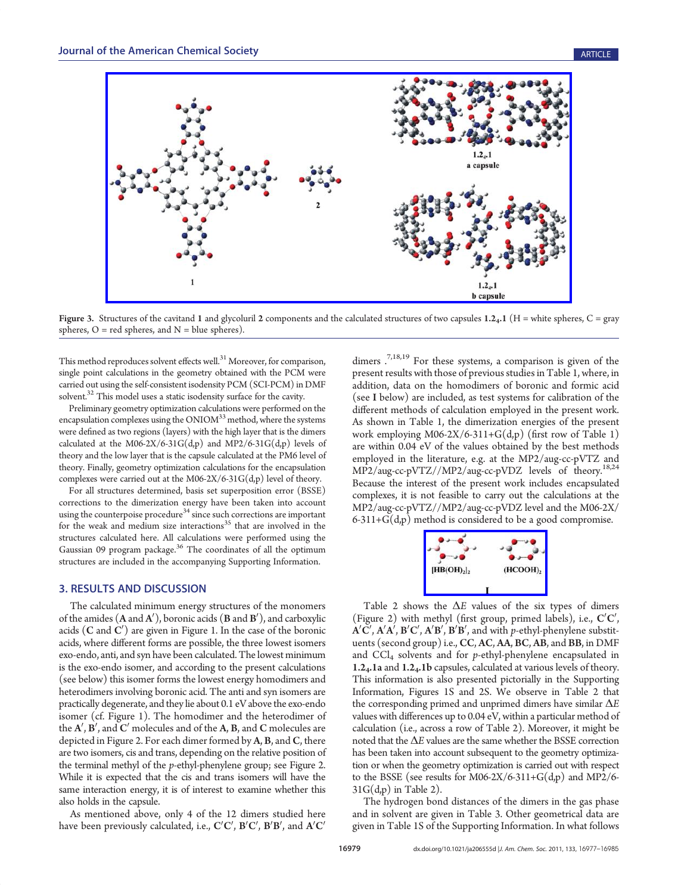

Figure 3. Structures of the cavitand 1 and glycoluril 2 components and the calculated structures of two capsules  $1.2<sub>4</sub>$ .1 (H = white spheres, C = gray spheres,  $O = red$  spheres, and  $N = blue$  spheres).

This method reproduces solvent effects well. $31$  Moreover, for comparison, single point calculations in the geometry obtained with the PCM were carried out using the self-consistent isodensity PCM (SCI-PCM) in DMF solvent. $32$  This model uses a static isodensity surface for the cavity.

Preliminary geometry optimization calculations were performed on the encapsulation complexes using the ONIOM<sup>33</sup> method, where the systems were defined as two regions (layers) with the high layer that is the dimers calculated at the M06-2X/6-31G(d,p) and MP2/6-31G(d,p) levels of theory and the low layer that is the capsule calculated at the PM6 level of theory. Finally, geometry optimization calculations for the encapsulation complexes were carried out at the M06-2X/6-31 $G(d,p)$  level of theory.

For all structures determined, basis set superposition error (BSSE) corrections to the dimerization energy have been taken into account using the counterpoise procedure<sup>34</sup> since such corrections are important for the weak and medium size interactions<sup>35</sup> that are involved in the structures calculated here. All calculations were performed using the Gaussian 09 program package.<sup>36</sup> The coordinates of all the optimum structures are included in the accompanying Supporting Information.

# 3. RESULTS AND DISCUSSION

The calculated minimum energy structures of the monomers of the amides  $(A \text{ and } A'),$  boronic acids  $(B \text{ and } B'),$  and carboxylic acids  $(\mathbf C$  and  $\mathbf C'$ ) are given in Figure 1. In the case of the boronic acids, where different forms are possible, the three lowest isomers exo-endo, anti, and syn have been calculated. The lowest minimum is the exo-endo isomer, and according to the present calculations (see below) this isomer forms the lowest energy homodimers and heterodimers involving boronic acid. The anti and syn isomers are practically degenerate, and they lie about 0.1 eV above the exo-endo isomer (cf. Figure 1). The homodimer and the heterodimer of the  $\mathbf{A}',\mathbf{B}'$ , and  $\mathbf{C}'$  molecules and of the  $\mathbf{A},\mathbf{B},$  and  $\mathbf{C}$  molecules are depicted in Figure 2. For each dimer formed by A, B, and C, there are two isomers, cis and trans, depending on the relative position of the terminal methyl of the p-ethyl-phenylene group; see Figure 2. While it is expected that the cis and trans isomers will have the same interaction energy, it is of interest to examine whether this also holds in the capsule.

As mentioned above, only 4 of the 12 dimers studied here have been previously calculated, i.e.,  $\mathbf{C}'\mathbf{C}'$ ,  $\mathbf{B}'\mathbf{C}'$ ,  $\mathbf{B}'\mathbf{B}'$ , and  $\mathbf{A}'\mathbf{C}'$ 

dimers  $.^{7,18,19}$  For these systems, a comparison is given of the present results with those of previous studies in Table 1, where, in addition, data on the homodimers of boronic and formic acid (see I below) are included, as test systems for calibration of the different methods of calculation employed in the present work. As shown in Table 1, the dimerization energies of the present work employing M06-2X/6-311+G(d,p) (first row of Table 1) are within 0.04 eV of the values obtained by the best methods employed in the literature, e.g. at the MP2/aug-cc-pVTZ and MP2/aug-cc-pVTZ//MP2/aug-cc-pVDZ levels of theory.<sup>18,24</sup> Because the interest of the present work includes encapsulated complexes, it is not feasible to carry out the calculations at the MP2/aug-cc-pVTZ//MP2/aug-cc-pVDZ level and the M06-2X/ 6-311+G(d,p) method is considered to be a good compromise.



Table 2 shows [the](http://pubs.acs.org/action/showImage?doi=10.1021/ja206555d&iName=master.img-003.jpg&w=105&h=53)  $\Delta E$  [values](http://pubs.acs.org/action/showImage?doi=10.1021/ja206555d&iName=master.img-003.jpg&w=105&h=53) [of](http://pubs.acs.org/action/showImage?doi=10.1021/ja206555d&iName=master.img-003.jpg&w=105&h=53) the [six](http://pubs.acs.org/action/showImage?doi=10.1021/ja206555d&iName=master.img-003.jpg&w=105&h=53) types of dimers (Figure 2) with methyl (first group, primed labels), i.e.,  $C'C'$ ,  $\mathbf{A}'\mathbf{C}'$ ,  $\mathbf{A}'\mathbf{A}'$ ,  $\mathbf{B}'\mathbf{C}'$ ,  $\mathbf{A}'\mathbf{B}'$ ,  $\mathbf{B}'\mathbf{B}'$ , and with  $p$ -ethyl-phenylene substituents (second group) i.e., CC, AC, AA, BC, AB, and BB, in DMF and  $CCl<sub>4</sub>$  solvents and for p-ethyl-phenylene encapsulated in 1.24.1a and 1.24.1b capsules, calculated at various levels of theory. This information is also presented pictorially in the Supporting Information, Figures 1S and 2S. We observe in Table 2 that the corresponding primed and unprimed dimers have similar  $\Delta E$ values with differences up to 0.04 eV, within a particular method of calculation (i.e., across a row of Table 2). Moreover, it might be noted that the ΔE values are the same whether the BSSE correction has been taken into account subsequent to the geometry optimization or when the geometry optimization is carried out with respect to the BSSE (see results for M06-2X/6-311+ $G(d,p)$  and MP2/6- $31G(d,p)$  in Table 2).

The hydrogen bond distances of the dimers in the gas phase and in solvent are given in Table 3. Other geometrical data are given in Table 1S of the Supporting Information. In what follows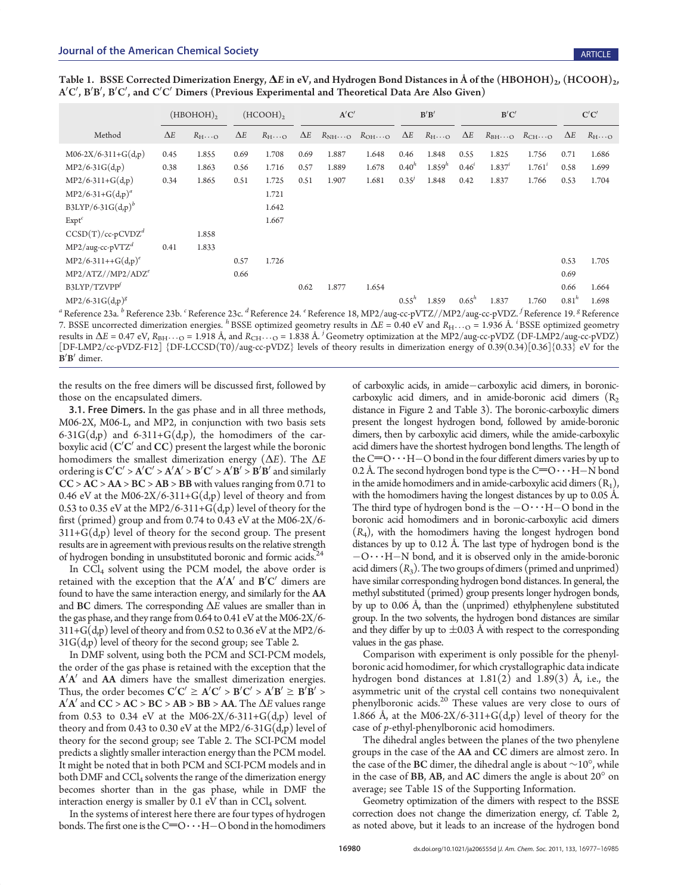|                               |            | $(HBOHOH)$ <sub>2</sub>         |            | $(HCOOH)$ <sub>2</sub> |            | A'C'                              |       | B'B'       |                                 | B'C'       |             |                                                             | C'C'       |               |
|-------------------------------|------------|---------------------------------|------------|------------------------|------------|-----------------------------------|-------|------------|---------------------------------|------------|-------------|-------------------------------------------------------------|------------|---------------|
| Method                        | $\Delta E$ | $R_{\text{H}}\ldots_{\text{O}}$ | $\Delta E$ | $R_{H} \dots$          | $\Delta E$ | $R_{NH} \dots Q$ $R_{OH} \dots Q$ |       | $\Delta E$ | $R_{\text{H}}\ldots_{\text{O}}$ | $\Delta E$ |             | $R_{\text{BH}\cdots\text{O}}$ $R_{\text{CH}\cdots\text{O}}$ | $\Delta E$ | $R_{H} \dots$ |
| $M06-2X/6-311+G(d,p)$         | 0.45       | 1.855                           | 0.69       | 1.708                  | 0.69       | 1.887                             | 1.648 | 0.46       | 1.848                           | 0.55       | 1.825       | 1.756                                                       | 0.71       | 1.686         |
| $MP2/6-31G(d,p)$              | 0.38       | 1.863                           | 0.56       | 1.716                  | 0.57       | 1.889                             | 1.678 | $0.40^{h}$ | $1.859^{h}$                     | $0.46^{i}$ | $1.837^{i}$ | $1.761^{i}$                                                 | 0.58       | 1.699         |
| $MP2/6-311+G(d,p)$            | 0.34       | 1.865                           | 0.51       | 1.725                  | 0.51       | 1.907                             | 1.681 | 0.35'      | 1.848                           | 0.42       | 1.837       | 1.766                                                       | 0.53       | 1.704         |
| $MP2/6-31+G(d,p)^{a}$         |            |                                 |            | 1.721                  |            |                                   |       |            |                                 |            |             |                                                             |            |               |
| B3LYP/6-31G $(d,p)^b$         |            |                                 |            | 1.642                  |            |                                   |       |            |                                 |            |             |                                                             |            |               |
| Expt <sup>c</sup>             |            |                                 |            | 1.667                  |            |                                   |       |            |                                 |            |             |                                                             |            |               |
| $CCSD(T)/cc$ -p $CVDZd$       |            | 1.858                           |            |                        |            |                                   |       |            |                                 |            |             |                                                             |            |               |
| $MP2/aug-cc-pVTZ^{d}$         | 0.41       | 1.833                           |            |                        |            |                                   |       |            |                                 |            |             |                                                             |            |               |
| $MP2/6-311++G(d,p)^e$         |            |                                 | 0.57       | 1.726                  |            |                                   |       |            |                                 |            |             |                                                             | 0.53       | 1.705         |
| MP2/ATZ//MP2/ADZ <sup>e</sup> |            |                                 | 0.66       |                        |            |                                   |       |            |                                 |            |             |                                                             | 0.69       |               |
| B3LYP/TZVPP                   |            |                                 |            |                        | 0.62       | 1.877                             | 1.654 |            |                                 |            |             |                                                             | 0.66       | 1.664         |
| $MP2/6-31G(d,p)^g$            |            |                                 |            |                        |            |                                   |       | $0.55^{h}$ | 1.859                           | $0.65^{h}$ | 1.837       | 1.760                                                       | $0.81^{h}$ | 1.698         |

Table 1. BSSE Corrected Dimerization Energy,  $\Delta E$  in eV, and Hydrogen Bond Distances in Å of the (HBOHOH)<sub>2</sub>, (HCOOH)<sub>2</sub>, A′C′, B′B′, B′C′, and C′C′ Dimers (Previous Experimental and Theoretical Data Are Also Given)

<sup>a</sup> Reference 23a. <sup>b</sup> Reference 23b. <sup>c</sup> Reference 23c. <sup>d</sup> Reference 24. <sup>e</sup> Reference 18, MP2/aug-cc-pVTZ//MP2/aug-cc-pVDZ. <sup>f</sup> Reference 19. <sup>g</sup> Reference 7. BSSE uncorrected dimerization energies. <sup>h</sup> BSSE optimized geometry results in  $\Delta E = 0.40$  eV and  $R_{\text{H}} \dots$  = 1.936 Å. <sup>*i*</sup> BSSE optimized geometry results in  $\Delta E = 0.47$  eV,  $R_{\rm BH} \dots_{\rm O} = 1.918$  Å, and  $R_{\rm CH} \dots_{\rm O} = 1.838$  Å. <sup>j</sup> Geometry optimization at the MP2/aug-cc-pVDZ (DF-LMP2/aug-cc-pVDZ) [DF-LMP2/cc-pVDZ-F12] {DF-LCCSD(T0)/aug-cc-pVDZ} levels of theory results in dimerization energy of 0.39(0.34)[0.36]{0.33} eV for the  $B'B'$  dimer.

the results on the free dimers will be discussed first, followed by those on the encapsulated dimers.

3.1. Free Dimers. In the gas phase and in all three methods, M06-2X, M06-L, and MP2, in conjunction with two basis sets  $6-31G(d,p)$  and  $6-311+G(d,p)$ , the homodimers of the carboxylic acid (C $^{\prime}$ C $^{\prime}$  and CC) present the largest while the boronic homodimers the smallest dimerization energy ( $\Delta E$ ). The  $\Delta E$ ordering is  $C'C' > A'C' > A'A' > B'C' > A'B' > B'B'$  and similarly  $CC > AC > AA > BC > AB > BB$  with values ranging from 0.71 to 0.46 eV at the M06-2X/6-311+G(d,p) level of theory and from 0.53 to 0.35 eV at the MP2/6-311+G(d,p) level of theory for the first (primed) group and from 0.74 to 0.43 eV at the M06-2X/6-  $311+G(d,p)$  level of theory for the second group. The present results are in agreement with previous results on the relative strength of hydrogen bonding in unsubstituted boronic and formic acids.<sup>24</sup>

In  $|CCI_4|$  solvent using the PCM model, the above order is retained with the exception that the  $\mathbf{A}'\mathbf{A}'$  and  $\mathbf{B}'\mathbf{C}'$  dimers are found to have the same interaction energy, and similarly for the AA and BC dimers. The corresponding  $\Delta E$  values are smaller than in the gas phase, and they range from 0.64 to 0.41 eV at the M06-2X/6-  $311+G(d,p)$  level of theory and from 0.52 to 0.36 eV at the MP2/6- $31G(d,p)$  level of theory for the second group; see Table 2.

In DMF solvent, using both the PCM and SCI-PCM models, the order of the gas phase is retained with the exception that the  $A'A'$  and  $AA$  dimers have the smallest dimerization energies. Thus, the order becomes  $C'C' \geq A'C' > B'C' > A'B' \geq B'\overline{B}' >$  $\mathbf{A}'\mathbf{A}'$  and  $\mathbf{CC} > \mathbf{AC} > \mathbf{BC} > \mathbf{AB} > \mathbf{BB} > \mathbf{AA}$ . The  $\Delta E$  values range from 0.53 to 0.34 eV at the M06-2X/6-311+G(d,p) level of theory and from 0.43 to 0.30 eV at the MP2/6-31 $G(d,p)$  level of theory for the second group; see Table 2. The SCI-PCM model predicts a slightly smaller interaction energy than the PCM model. It might be noted that in both PCM and SCI-PCM models and in both DMF and CCl<sub>4</sub> solvents the range of the dimerization energy becomes shorter than in the gas phase, while in DMF the interaction energy is smaller by  $0.1$  eV than in CCl<sub>4</sub> solvent.

In the systems of interest here there are four types of hydrogen bonds. The first one is the  $C=O \cdot \cdot \cdot H-O$  bond in the homodimers

of carboxylic acids, in amide-carboxylic acid dimers, in boroniccarboxylic acid dimers, and in amide-boronic acid dimers  $(R_2)$ distance in Figure 2 and Table 3). The boronic-carboxylic dimers present the longest hydrogen bond, followed by amide-boronic dimers, then by carboxylic acid dimers, while the amide-carboxylic acid dimers have the shortest hydrogen bond lengths. The length of the  $C=O \cdot \cdot \cdot H-O$  bond in the four different dimers varies by up to 0.2 Å. The second hydrogen bond type is the  $C=O \cdot \cdot \cdot H-N$  bond in the amide homodimers and in amide-carboxylic acid dimers  $(R_1)$ , with the homodimers having the longest distances by up to 0.05 Å. The third type of hydrogen bond is the  $-O \cdot \cdot \cdot H-O$  bond in the boronic acid homodimers and in boronic-carboxylic acid dimers  $(R<sub>4</sub>)$ , with the homodimers having the longest hydrogen bond distances by up to 0.12 Å. The last type of hydrogen bond is the  $-O \cdot \cdot H-N$  bond, and it is observed only in the amide-boronic acid dimers  $(R_3)$ . The two groups of dimers (primed and unprimed) have similar corresponding hydrogen bond distances. In general, the methyl substituted (primed) group presents longer hydrogen bonds, by up to 0.06 Å, than the (unprimed) ethylphenylene substituted group. In the two solvents, the hydrogen bond distances are similar and they differ by up to  $\pm 0.03$  Å with respect to the corresponding values in the gas phase.

Comparison with experiment is only possible for the phenylboronic acid homodimer, for which crystallographic data indicate hydrogen bond distances at  $1.81(2)$  and  $1.89(3)$  Å, i.e., the asymmetric unit of the crystal cell contains two nonequivalent phenylboronic acids.<sup>20</sup> These values are very close to ours of 1.866 Å, at the M06-2X/6-311+G(d,p) level of theory for the case of p-ethyl-phenylboronic acid homodimers.

The dihedral angles between the planes of the two phenylene groups in the case of the AA and CC dimers are almost zero. In the case of the BC dimer, the dihedral angle is about  $\sim$ 10°, while in the case of  $BB$ ,  $AB$ , and  $AC$  dimers the angle is about  $20^{\circ}$  on average; see Table 1S of the Supporting Information.

Geometry optimization of the dimers with respect to the BSSE correction does not change the dimerization energy, cf. Table 2, as noted above, but it leads to an increase of the hydrogen bond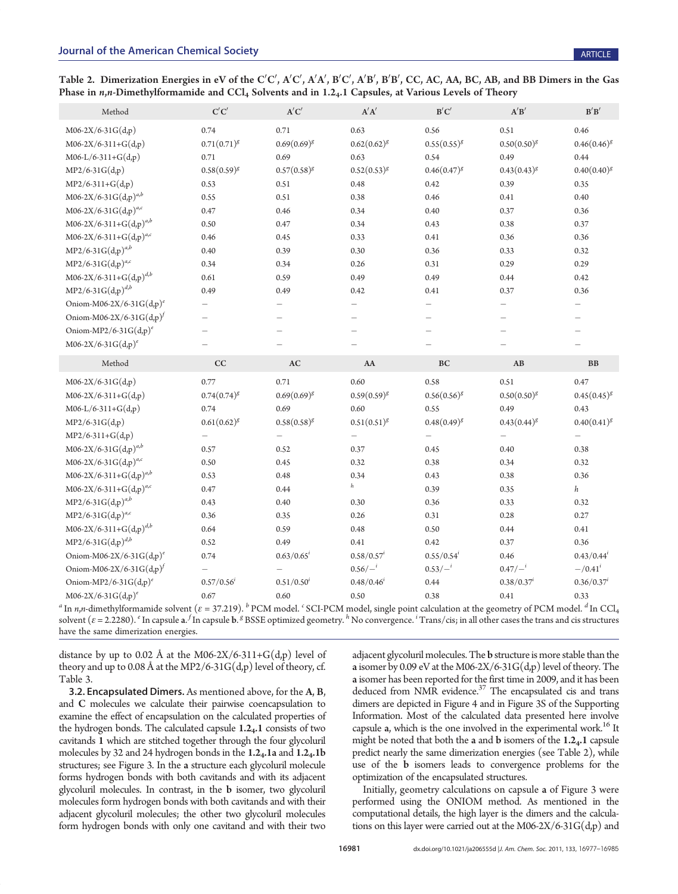Table 2. Dimerization Energies in eV of the C'C', A'C', A'A', B'C', A'B', B'B', CC, AC, AA, BC, AB, and BB Dimers in the Gas Phase in  $n,n$ -Dimethylformamide and  $\text{CCl}_4$  Solvents and in 1.2<sub>4</sub>.1 Capsules, at Various Levels of Theory

| Method                               | $\mathbf{C}'\mathbf{C}'$ | A'C'                     | $\mathbf{A}'\mathbf{A}'$ | B'C'                     | $\mathbf{A}'\mathbf{B}'$ | B'B'                     |
|--------------------------------------|--------------------------|--------------------------|--------------------------|--------------------------|--------------------------|--------------------------|
| $M06-2X/6-31G(d,p)$                  | 0.74                     | 0.71                     | 0.63                     | 0.56                     | 0.51                     | 0.46                     |
| $M06-2X/6-311+G(d,p)$                | $0.71(0.71)^{g}$         | $0.69(0.69)^{g}$         | $0.62(0.62)^{g}$         | $0.55(0.55)^{g}$         | $0.50(0.50)^g$           | $0.46(0.46)^{g}$         |
| $M06-L/6-311+G(d,p)$                 | 0.71                     | 0.69                     | 0.63                     | 0.54                     | 0.49                     | 0.44                     |
| $MP2/6-31G(d,p)$                     | $0.58(0.59)^{g}$         | $0.57(0.58)^{g}$         | $0.52(0.53)^{g}$         | $0.46(0.47)^{g}$         | $0.43(0.43)^{g}$         | $0.40(0.40)^{g}$         |
| $MP2/6-311+G(d,p)$                   | 0.53                     | 0.51                     | 0.48                     | 0.42                     | 0.39                     | 0.35                     |
| $M06-2X/6-31G(d,p)^{a,b}$            | 0.55                     | 0.51                     | 0.38                     | 0.46                     | 0.41                     | 0.40                     |
| $M06-2X/6-31G(d,p)^{a,c}$            | 0.47                     | 0.46                     | 0.34                     | 0.40                     | 0.37                     | 0.36                     |
| $M06-2X/6-311+G(d,p)^{a,b}$          | 0.50                     | 0.47                     | 0.34                     | 0.43                     | 0.38                     | 0.37                     |
| $M06-2X/6-311+G(d,p)^{a,c}$          | 0.46                     | 0.45                     | 0.33                     | 0.41                     | 0.36                     | 0.36                     |
| $MP2/6-31G(d,p)^{a,b}$               | 0.40                     | 0.39                     | 0.30                     | 0.36                     | 0.33                     | 0.32                     |
| $MP2/6-31G(d,p)^{a,c}$               | 0.34                     | 0.34                     | 0.26                     | 0.31                     | 0.29                     | 0.29                     |
| $M06-2X/6-311+G(d,p)^{d,b}$          | 0.61                     | 0.59                     | 0.49                     | 0.49                     | 0.44                     | 0.42                     |
| $MP2/6-31G(d,p)^{d,b}$               | 0.49                     | 0.49                     | 0.42                     | 0.41                     | 0.37                     | 0.36                     |
| Oniom-M06-2X/6-31G $(d,p)^e$         | $\qquad \qquad -$        | $\equiv$                 | $\equiv$                 | $\equiv$                 | $\overline{\phantom{0}}$ | $\overline{\phantom{0}}$ |
| Oniom-M06-2X/6-31G(d,p) <sup>f</sup> | $\overline{\phantom{0}}$ | $=$                      | $=$                      | $\overline{\phantom{0}}$ | $\overline{\phantom{0}}$ |                          |
| Oniom-MP2/6-31 $G(d,p)^e$            | $\equiv$                 |                          |                          |                          |                          |                          |
| $M06-2X/6-31G(d,p)^e$                |                          |                          |                          |                          |                          |                          |
| Method                               | CC                       | $\mathbf{A}\mathbf{C}$   | AA                       | <b>BC</b>                | AB                       | B <sub>B</sub>           |
|                                      |                          |                          |                          |                          |                          |                          |
| $M06-2X/6-31G(d,p)$                  | 0.77                     | 0.71                     | 0.60                     | 0.58                     | 0.51                     | 0.47                     |
| $M06-2X/6-311+G(d,p)$                | $0.74(0.74)^{g}$         | $0.69(0.69)^{g}$         | $0.59(0.59)^g$           | $0.56(0.56)^{g}$         | $0.50(0.50)^{g}$         | $0.45(0.45)^{g}$         |
| $M06-L/6-311+G(d,p)$                 | 0.74                     | 0.69                     | 0.60                     | 0.55                     | 0.49                     | 0.43                     |
| $MP2/6-31G(d,p)$                     | $0.61(0.62)^{g}$         | $0.58(0.58)^{g}$         | $0.51(0.51)^{g}$         | $0.48(0.49)^{g}$         | $0.43(0.44)^{g}$         | $0.40(0.41)^{g}$         |
| $MP2/6-311+G(d,p)$                   |                          | $\overline{\phantom{m}}$ | $\overline{\phantom{0}}$ | $\equiv$                 | $\overline{\phantom{0}}$ | $\overline{\phantom{m}}$ |
| $M06-2X/6-31G(d,p)^{a,b}$            | 0.57                     | 0.52                     | 0.37                     | 0.45                     | 0.40                     | 0.38                     |
| M06-2X/6-31G(d,p) <sup>a,c</sup>     | 0.50                     | 0.45                     | 0.32                     | 0.38                     | 0.34                     | 0.32                     |
| $M06-2X/6-311+G(d,p)^{a,b}$          | 0.53                     | 0.48                     | 0.34                     | 0.43                     | 0.38                     | 0.36                     |
| $M06-2X/6-311+G(d,p)^{a,c}$          | 0.47                     | 0.44                     | $\mathfrak{h}$           | 0.39                     | 0.35                     | $\boldsymbol{h}$         |
| $MP2/6-31G(d,p)^{a,b}$               | 0.43                     | 0.40                     | 0.30                     | 0.36                     | 0.33                     | 0.32                     |
| $MP2/6-31G(d,p)^{a,c}$               | 0.36                     | 0.35                     | 0.26                     | 0.31                     | 0.28                     | 0.27                     |
| $M06-2X/6-311+G(d,p)^{d,b}$          | 0.64                     | 0.59                     | 0.48                     | 0.50                     | 0.44                     | 0.41                     |
| $MP2/6-31G(d,p)^{d,b}$               | 0.52                     | 0.49                     | 0.41                     | 0.42                     | 0.37                     | 0.36                     |
| Oniom-M06-2X/6-31G(d,p) <sup>e</sup> | 0.74                     | $0.63/0.65^{i}$          | $0.58/0.57^{i}$          | $0.55/0.54^{i}$          | 0.46                     | $0.43/0.44^{i}$          |
| Oniom-M06-2X/6-31G(d,p) <sup>f</sup> | $\overline{\phantom{0}}$ |                          | $0.56/-$                 | $0.53/-$ <sup>i</sup>    | $0.47/-$ <sup>i</sup>    | $-$ /0.41 <sup>i</sup>   |
| Oniom-MP2/6-31G $(d,p)^e$            | $0.57/0.56^{i}$          | $0.51/0.50^{i}$          | $0.48/0.46^{i}$          | 0.44                     | $0.38/0.37^{i}$          | $0.36/0.37^{i}$          |

<sup>a</sup> In *n,n*-dimethylformamide solvent ( $\varepsilon$  = 37.219). <sup>b</sup> PCM model. <sup>c</sup> SCI-PCM model, single point calculation at the geometry of PCM model. <sup>d</sup> In CCl<sub>4</sub> solvent ( $\varepsilon$  = 2.2280).  $^{\varepsilon}$  In capsule  $\mathbf{a}$ .  $^f$  In capsule  $\mathbf{b}$ .  $^g$  BSSE optimized geometry.  $^h$  No convergence.  $^i$  Trans/cis; in all other cases the trans and cis structures have the same dimerization energies.

distance by up to 0.02 Å at the M06-2X/6-311+G(d,p) level of theory and up to 0.08 Å at the MP2/6-31 $G(d,p)$  level of theory, cf. Table 3.

3.2. Encapsulated Dimers. As mentioned above, for the A, B, and C molecules we calculate their pairwise coencapsulation to examine the effect of encapsulation on the calculated properties of the hydrogen bonds. The calculated capsule 1.24.1 consists of two cavitands 1 which are stitched together through the four glycoluril molecules by 32 and 24 hydrogen bonds in the  $1.2<sub>4</sub>$ . 1a and  $1.2<sub>4</sub>$ . 1b structures; see Figure 3. In the a structure each glycoluril molecule forms hydrogen bonds with both cavitands and with its adjacent glycoluril molecules. In contrast, in the b isomer, two glycoluril molecules form hydrogen bonds with both cavitands and with their adjacent glycoluril molecules; the other two glycoluril molecules form hydrogen bonds with only one cavitand and with their two

adjacent glycoluril molecules. The b structure is more stable than the a isomer by 0.09 eV at the M06-2X/6-31 $G(d,p)$  level of theory. The a isomer has been reported for the first time in 2009, and it has been deduced from NMR evidence.<sup>37</sup> The encapsulated cis and trans dimers are depicted in Figure 4 and in Figure 3S of the Supporting Information. Most of the calculated data presented here involve capsule  $a$ , which is the one involved in the experimental work.<sup>16</sup> It might be noted that both the a and b isomers of the 1.24.1 capsule predict nearly the same dimerization energies (see Table 2), while use of the b isomers leads to convergence problems for the optimization of the encapsulated structures.

Initially, geometry calculations on capsule a of Figure 3 were performed using the ONIOM method. As mentioned in the computational details, the high layer is the dimers and the calculations on this layer were carried out at the M06-2X/6-31 $G(d,p)$  and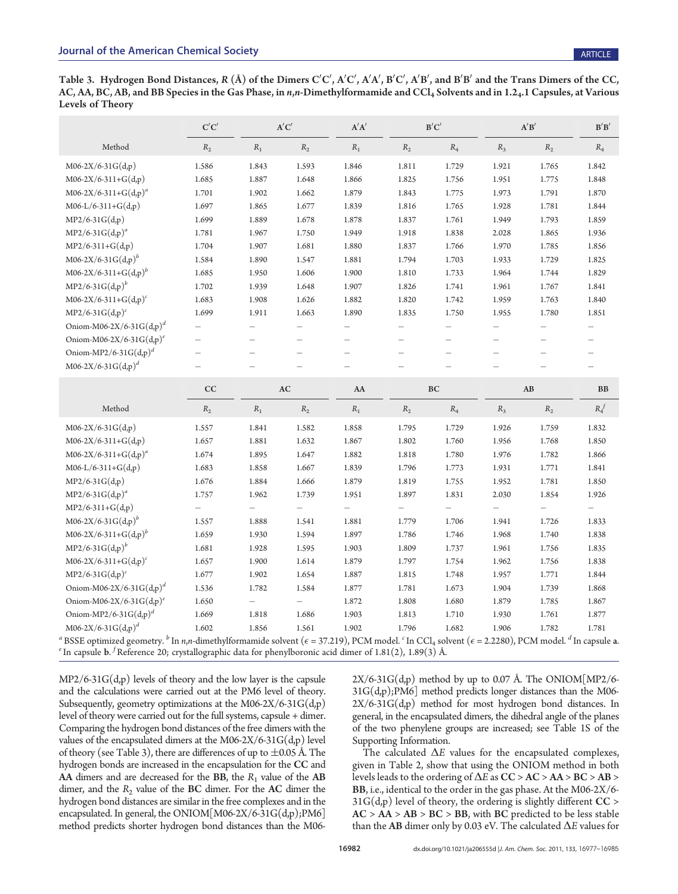Table 3. Hydrogen Bond Distances, R (Å) of the Dimers C'C', A'C', A'A', B'C', A'B', and B'B' and the Trans Dimers of the CC, AC, AA, BC, AB, and BB Species in the Gas Phase, in n,n-Dimethylformamide and CCl<sub>4</sub> Solvents and in 1.2<sub>4</sub>.1 Capsules, at Various Levels of Theory

|                                                                                                                                                                                                                                                                                                                                                                                          | C'C'                     | A'C'  |                          | A'A'                     |       | B'C'  |                          | A'B'                     |                          |  |
|------------------------------------------------------------------------------------------------------------------------------------------------------------------------------------------------------------------------------------------------------------------------------------------------------------------------------------------------------------------------------------------|--------------------------|-------|--------------------------|--------------------------|-------|-------|--------------------------|--------------------------|--------------------------|--|
| Method                                                                                                                                                                                                                                                                                                                                                                                   | $R_2$                    | $R_1$ | $R_2$                    | $R_1$                    | $R_2$ | $R_4$ | $R_3$                    | $R_2$                    | $R_4$                    |  |
| $M06-2X/6-31G(d,p)$                                                                                                                                                                                                                                                                                                                                                                      | 1.586                    | 1.843 | 1.593                    | 1.846                    | 1.811 | 1.729 | 1.921                    | 1.765                    | 1.842                    |  |
| $M06-2X/6-311+G(d,p)$                                                                                                                                                                                                                                                                                                                                                                    | 1.685                    | 1.887 | 1.648                    | 1.866                    | 1.825 | 1.756 | 1.951                    | 1.775                    | 1.848                    |  |
| $M06-2X/6-311+G(d,p)^{a}$                                                                                                                                                                                                                                                                                                                                                                | 1.701                    | 1.902 | 1.662                    | 1.879                    | 1.843 | 1.775 | 1.973                    | 1.791                    | 1.870                    |  |
| $M06-L/6-311+G(d,p)$                                                                                                                                                                                                                                                                                                                                                                     | 1.697                    | 1.865 | 1.677                    | 1.839                    | 1.816 | 1.765 | 1.928                    | 1.781                    | 1.844                    |  |
| $MP2/6-31G(d,p)$                                                                                                                                                                                                                                                                                                                                                                         | 1.699                    | 1.889 | 1.678                    | 1.878                    | 1.837 | 1.761 | 1.949                    | 1.793                    | 1.859                    |  |
| $MP2/6-31G(d,p)^{a}$                                                                                                                                                                                                                                                                                                                                                                     | 1.781                    | 1.967 | 1.750                    | 1.949                    | 1.918 | 1.838 | 2.028                    | 1.865                    | 1.936                    |  |
| $MP2/6-311+G(d,p)$                                                                                                                                                                                                                                                                                                                                                                       | 1.704                    | 1.907 | 1.681                    | 1.880                    | 1.837 | 1.766 | 1.970                    | 1.785                    | 1.856                    |  |
| $M06-2X/6-31G(d,p)^{b}$                                                                                                                                                                                                                                                                                                                                                                  | 1.584                    | 1.890 | 1.547                    | 1.881                    | 1.794 | 1.703 | 1.933                    | 1.729                    | 1.825                    |  |
| $M06-2X/6-311+G(d,p)^{b}$                                                                                                                                                                                                                                                                                                                                                                | 1.685                    | 1.950 | 1.606                    | 1.900                    | 1.810 | 1.733 | 1.964                    | 1.744                    | 1.829                    |  |
| $MP2/6-31G(d,p)^{b}$                                                                                                                                                                                                                                                                                                                                                                     | 1.702                    | 1.939 | 1.648                    | 1.907                    | 1.826 | 1.741 | 1.961                    | 1.767                    | 1.841                    |  |
| $M06-2X/6-311+G(d,p)^c$                                                                                                                                                                                                                                                                                                                                                                  | 1.683                    | 1.908 | 1.626                    | 1.882                    | 1.820 | 1.742 | 1.959                    | 1.763                    | 1.840                    |  |
| $MP2/6-31G(d,p)^c$                                                                                                                                                                                                                                                                                                                                                                       | 1.699                    | 1.911 | 1.663                    | 1.890                    | 1.835 | 1.750 | 1.955                    | 1.780                    | 1.851                    |  |
| Oniom-M06-2X/6-31G(d,p) <sup>d</sup>                                                                                                                                                                                                                                                                                                                                                     | $\overline{\phantom{0}}$ |       |                          |                          |       |       |                          |                          |                          |  |
| Oniom-M06-2X/6-31G(d,p) <sup>e</sup>                                                                                                                                                                                                                                                                                                                                                     |                          |       |                          |                          |       |       |                          |                          |                          |  |
| Oniom-MP2/6-31G $(d,p)^d$                                                                                                                                                                                                                                                                                                                                                                |                          |       |                          |                          |       |       |                          |                          | $\overline{\phantom{0}}$ |  |
| $M06-2X/6-31G(d,p)^{d}$                                                                                                                                                                                                                                                                                                                                                                  |                          |       |                          |                          |       |       |                          |                          |                          |  |
|                                                                                                                                                                                                                                                                                                                                                                                          | CC                       |       | AC                       | AA                       |       | BC    |                          | AB                       | ${\bf BB}$               |  |
| Method                                                                                                                                                                                                                                                                                                                                                                                   | $R_2$                    | $R_1$ | $R_2$                    | $\ensuremath{R}_1$       | $R_2$ | $R_4$ | $R_3$                    | $R_2$                    | $R_4^f$                  |  |
| $M06-2X/6-31G(d,p)$                                                                                                                                                                                                                                                                                                                                                                      | 1.557                    | 1.841 | 1.582                    | 1.858                    | 1.795 | 1.729 | 1.926                    | 1.759                    | 1.832                    |  |
| $M06-2X/6-311+G(d,p)$                                                                                                                                                                                                                                                                                                                                                                    | 1.657                    | 1.881 | 1.632                    | 1.867                    | 1.802 | 1.760 | 1.956                    | 1.768                    | 1.850                    |  |
| $M06-2X/6-311+G(d,p)^{a}$                                                                                                                                                                                                                                                                                                                                                                | 1.674                    | 1.895 | 1.647                    | 1.882                    | 1.818 | 1.780 | 1.976                    | 1.782                    | 1.866                    |  |
| $M06-L/6-311+G(d,p)$                                                                                                                                                                                                                                                                                                                                                                     | 1.683                    | 1.858 | 1.667                    | 1.839                    | 1.796 | 1.773 | 1.931                    | 1.771                    | 1.841                    |  |
| $MP2/6-31G(d,p)$                                                                                                                                                                                                                                                                                                                                                                         | 1.676                    | 1.884 | 1.666                    | 1.879                    | 1.819 | 1.755 | 1.952                    | 1.781                    | 1.850                    |  |
| $MP2/6-31G(d,p)^{a}$                                                                                                                                                                                                                                                                                                                                                                     | 1.757                    | 1.962 | 1.739                    | 1.951                    | 1.897 | 1.831 | 2.030                    | 1.854                    | 1.926                    |  |
| $MP2/6-311+G(d,p)$                                                                                                                                                                                                                                                                                                                                                                       | $\overline{\phantom{0}}$ |       | $\overline{\phantom{0}}$ | $\overline{\phantom{0}}$ |       |       | $\overline{\phantom{0}}$ | $\overline{\phantom{0}}$ | $\overline{\phantom{m}}$ |  |
| $M06-2X/6-31G(d,p)^{b}$                                                                                                                                                                                                                                                                                                                                                                  | 1.557                    | 1.888 | 1.541                    | 1.881                    | 1.779 | 1.706 | 1.941                    | 1.726                    | 1.833                    |  |
| $M06-2X/6-311+G(d,p)^{b}$                                                                                                                                                                                                                                                                                                                                                                | 1.659                    | 1.930 | 1.594                    | 1.897                    | 1.786 | 1.746 | 1.968                    | 1.740                    | 1.838                    |  |
| $MP2/6-31G(d,p)^{b}$                                                                                                                                                                                                                                                                                                                                                                     | 1.681                    | 1.928 | 1.595                    | 1.903                    | 1.809 | 1.737 | 1.961                    | 1.756                    | 1.835                    |  |
| $M06-2X/6-311+G(d,p)^c$                                                                                                                                                                                                                                                                                                                                                                  | 1.657                    | 1.900 | 1.614                    | 1.879                    | 1.797 | 1.754 | 1.962                    | 1.756                    | 1.838                    |  |
| $MP2/6-31G(d,p)^c$                                                                                                                                                                                                                                                                                                                                                                       | 1.677                    | 1.902 | 1.654                    | 1.887                    | 1.815 | 1.748 | 1.957                    | 1.771                    | 1.844                    |  |
| Oniom-M06-2X/6-31G(d,p) <sup>d</sup>                                                                                                                                                                                                                                                                                                                                                     | 1.536                    | 1.782 | 1.584                    | 1.877                    | 1.781 | 1.673 | 1.904                    | 1.739                    | 1.868                    |  |
| Oniom-M06-2X/6-31G(d,p) <sup>e</sup>                                                                                                                                                                                                                                                                                                                                                     | 1.650                    |       |                          | 1.872                    | 1.808 | 1.680 | 1.879                    | 1.785                    | 1.867                    |  |
| Oniom-MP2/6-31G(d,p) <sup>d</sup>                                                                                                                                                                                                                                                                                                                                                        | 1.669                    | 1.818 | 1.686                    | 1.903                    | 1.813 | 1.710 | 1.930                    | 1.761                    | 1.877                    |  |
| $M06-2X/6-31G(d,p)^{d}$                                                                                                                                                                                                                                                                                                                                                                  | 1.602                    | 1.856 | 1.561                    | 1.902                    | 1.796 | 1.682 | 1.906                    | 1.782                    | 1.781                    |  |
| <sup>a</sup> BSSE optimized geometry. <sup>b</sup> In <i>n,n-</i> dimethylformamide solvent ( $\epsilon$ = 37.219), PCM model. <sup>c</sup> In CCl <sub>4</sub> solvent ( $\epsilon$ = 2.2280), PCM model. <sup>d</sup> In capsule <b>a</b> .<br><sup>e</sup> In capsule <b>b</b> . <sup>f</sup> Reference 20; crystallographic data for phenylboronic acid dimer of 1.81(2), 1.89(3) Å. |                          |       |                          |                          |       |       |                          |                          |                          |  |

 $MP2/6-31G(d,p)$  levels of theory and the low layer is the capsule and the calculations were carried out at the PM6 level of theory. Subsequently, geometry optimizations at the M06-2X/6-31G(d,p) level of theory were carried out for the full systems, capsule + dimer. Comparing the hydrogen bond distances of the free dimers with the values of the encapsulated dimers at the M06-2X/6-31 $G(d,p)$  level of theory (see Table 3), there are differences of up to  $\pm 0.05$  Å. The hydrogen bonds are increased in the encapsulation for the CC and AA dimers and are decreased for the BB, the  $R_1$  value of the AB dimer, and the  $R_2$  value of the BC dimer. For the AC dimer the hydrogen bond distances are similar in the free complexes and in the encapsulated. In general, the ONIOM[M06-2X/6-31G(d,p);PM6] method predicts shorter hydrogen bond distances than the M06 $2X/6-31G(d,p)$  method by up to 0.07 Å. The ONIOM[MP2/6-31G(d,p);PM6] method predicts longer distances than the M06- 2X/6-31G(d,p) method for most hydrogen bond distances. In general, in the encapsulated dimers, the dihedral angle of the planes of the two phenylene groups are increased; see Table 1S of the Supporting Information.

The calculated  $\Delta E$  values for the encapsulated complexes, given in Table 2, show that using the ONIOM method in both levels leads to the ordering of  $\Delta E$  as  $CC > AC > AA > BC > AB >$ BB, i.e., identical to the order in the gas phase. At the M06-2X/6-  $31G(d,p)$  level of theory, the ordering is slightly different  $CC >$  $AC > AA > AB > BC > BB$ , with BC predicted to be less stable than the AB dimer only by 0.03 eV. The calculated  $\Delta E$  values for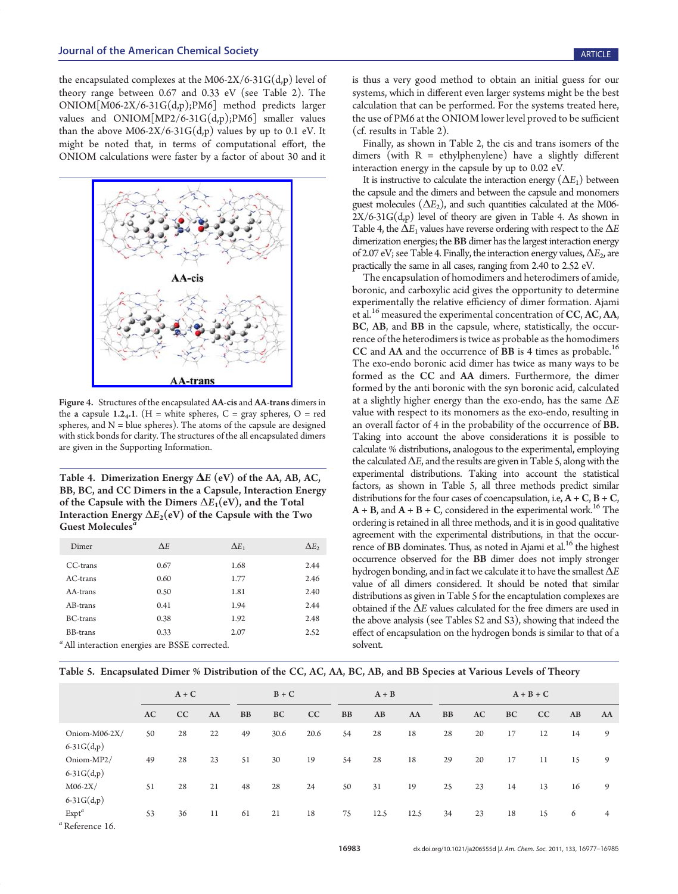the encapsulated complexes at the M06-2X/6-31 $G(d,p)$  level of theory range between 0.67 and 0.33 eV (see Table 2). The ONIOM[M06-2X/6-31G(d,p);PM6] method predicts larger values and  $ONIOM[MP2/6-31G(d,p);PM6]$  smaller values than the above  $M06-2X/6-31G(d,p)$  values by up to 0.1 eV. It might be noted that, in terms of computational effort, the ONIOM calculations were faster by a factor of about 30 and it



Figure 4. Structures of the encapsulated AA-cis and AA-trans dimers in the a capsule 1.24.1. (H = white spheres, C = gray spheres, O = red spheres, and  $N =$  blue spheres). The atoms of the capsule are designed with stick bonds for clarity. The structures of the all encapsulated dimers are given in the Supporting Information.

Table 4. Dimerization Energy  $\Delta E$  (eV) of the AA, AB, AC, BB, BC, and CC Dimers in the a Capsule, Interaction Energy of the Capsule with the Dimers  $\Delta E_1(\text{eV})$ , and the Total Interaction Energy  $\Delta E_2(eV)$  of the Capsule with the Two Guest Molecules<sup>7</sup>

| Dimer           | $\Delta E$                                                                        | $\Delta E_1$ | $\Delta E_2$ |
|-----------------|-----------------------------------------------------------------------------------|--------------|--------------|
| CC-trans        | 0.67                                                                              | 1.68         | 2.44         |
| $AC$ -trans     | 0.60                                                                              | 1.77         | 2.46         |
| AA-trans        | 0.50                                                                              | 1.81         | 2.40         |
| AB-trans        | 0.41                                                                              | 1.94         | 2.44         |
| <b>BC-trans</b> | 0.38                                                                              | 1.92         | 2.48         |
| BB-trans        | 0.33                                                                              | 2.07         | 2.52         |
|                 | $a_{\mathbf{A}} \mathbf{u} \cdot \mathbf{v}$ . Decree $a_{\mathbf{A}} \mathbf{u}$ |              |              |

All interaction energies are BSSE corrected.

is thus a very good method to obtain an initial guess for our systems, which in different even larger systems might be the best calculation that can be performed. For the systems treated here, the use of PM6 at the ONIOM lower level proved to be sufficient (cf. results in Table 2).

Finally, as shown in Table 2, the cis and trans isomers of the dimers (with  $R = ethylphenylene)$  have a slightly different interaction energy in the capsule by up to 0.02 eV.

It is instructive to calculate the interaction energy  $(\Delta E_1)$  between the capsule and the dimers and between the capsule and monomers guest molecules  $(\Delta E_2)$ , and such quantities calculated at the M06- $2X/6-31G(d,p)$  level of theory are given in Table 4. As shown in Table 4, the  $\Delta E_1$  values have reverse ordering with respect to the  $\Delta E$ dimerization energies; the BB dimer has the largest interaction energy of 2.07 eV; see Table 4. Finally, the interaction energy values,  $\Delta E_2$ , are practically the same in all cases, ranging from 2.40 to 2.52 eV.

The encapsulation of homodimers and heterodimers of amide, boronic, and carboxylic acid gives the opportunity to determine experimentally the relative efficiency of dimer formation. Ajami et al.<sup>16</sup> measured the experimental concentration of  $CC, AC, AA$ , BC, AB, and BB in the capsule, where, statistically, the occurrence of the heterodimers is twice as probable as the homodimers CC and AA and the occurrence of BB is 4 times as probable.<sup>16</sup> The exo-endo boronic acid dimer has twice as many ways to be formed as the CC and AA dimers. Furthermore, the dimer formed by the anti boronic with the syn boronic acid, calculated at a slightly higher energy than the exo-endo, has the same  $\Delta E$ value with respect to its monomers as the exo-endo, resulting in an overall factor of 4 in the probability of the occurrence of BB. Taking into account the above considerations it is possible to calculate % distributions, analogous to the experimental, employing the calculated  $\Delta E$ , and the results are given in Table 5, along with the experimental distributions. Taking into account the statistical factors, as shown in Table 5, all three methods predict similar distributions for the four cases of coencapsulation, i.e,  $A + C$ ,  $B + C$ ,  $A + B$ , and  $A + B + C$ , considered in the experimental work.<sup>16</sup> The ordering is retained in all three methods, and it is in good qualitative agreement with the experimental distributions, in that the occurrence of BB dominates. Thus, as noted in Ajami et al.<sup>16</sup> the highest occurrence observed for the BB dimer does not imply stronger hydrogen bonding, and in fact we calculate it to have the smallest  $\Delta E$ value of all dimers considered. It should be noted that similar distributions as given in Table 5 for the encaptulation complexes are obtained if the  $\Delta E$  values calculated for the free dimers are used in the above analysis (see Tables S2 and S3), showing that indeed the effect of encapsulation on the hydrogen bonds is similar to that of a solvent.

|                                        | $A + C$ |    |    |    | $B + C$ |      |           | $A + B$ |      |           | $A + B + C$ |    |    |    |                |
|----------------------------------------|---------|----|----|----|---------|------|-----------|---------|------|-----------|-------------|----|----|----|----------------|
|                                        | AC      | CC | AA | BB | BC      | CC   | <b>BB</b> | AB      | AA   | <b>BB</b> | AC          | BC | CC | AB | AA             |
| Oniom-M06-2X/<br>$6-31G(d,p)$          | 50      | 28 | 22 | 49 | 30.6    | 20.6 | 54        | 28      | 18   | 28        | 20          | 17 | 12 | 14 | 9              |
| Oniom-MP2/<br>$6-31G(d,p)$             | 49      | 28 | 23 | 51 | 30      | 19   | 54        | 28      | 18   | 29        | 20          | 17 | 11 | 15 | 9              |
| $M06-2X/$<br>$6-31G(d,p)$              | 51      | 28 | 21 | 48 | 28      | 24   | 50        | 31      | 19   | 25        | 23          | 14 | 13 | 16 | 9              |
| $Expt^a$<br><sup>a</sup> Reference 16. | 53      | 36 | 11 | 61 | 21      | 18   | 75        | 12.5    | 12.5 | 34        | 23          | 18 | 15 | 6  | $\overline{4}$ |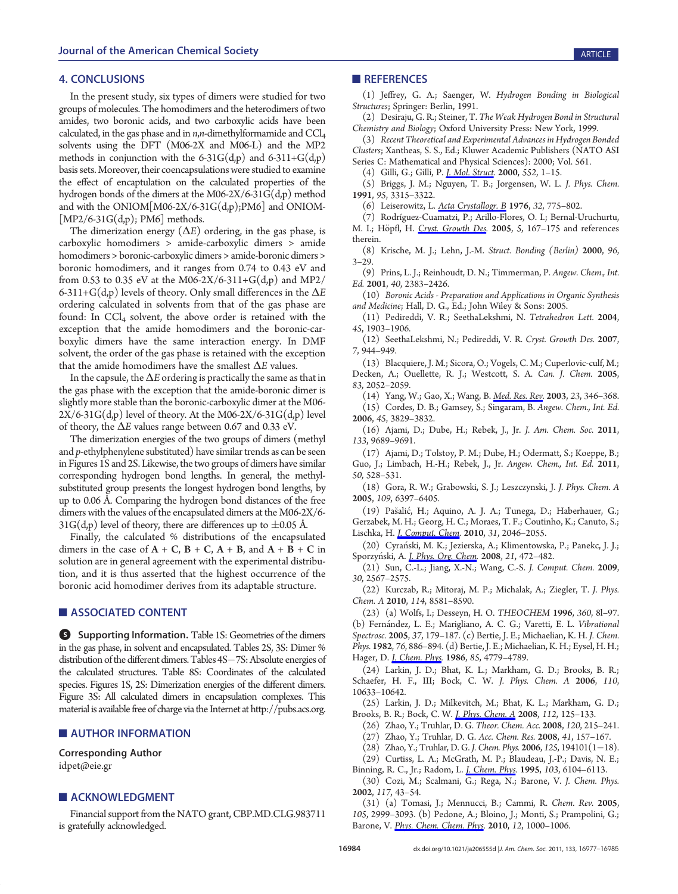### 4. CONCLUSIONS

In the present study, six types of dimers were studied for two groups of molecules. The homodimers and the heterodimers of two amides, two boronic acids, and two carboxylic acids have been calculated, in the gas phase and in  $n, n$ -dimethylformamide and  $CCl<sub>4</sub>$ solvents using the DFT (M06-2X and M06-L) and the MP2 methods in conjunction with the  $6-31G(d,p)$  and  $6-311+G(d,p)$ basis sets. Moreover, their coencapsulations were studied to examine the effect of encaptulation on the calculated properties of the hydrogen bonds of the dimers at the M06-2X/6-31G(d,p) method and with the ONIOM[M06-2X/6-31G(d,p);PM6] and ONIOM-  $[MP2/6-31G(d,p); PM6]$  methods.

The dimerization energy  $(\Delta E)$  ordering, in the gas phase, is carboxylic homodimers > amide-carboxylic dimers > amide homodimers > boronic-carboxylic dimers > amide-boronic dimers > boronic homodimers, and it ranges from 0.74 to 0.43 eV and from 0.53 to 0.35 eV at the M06-2X/6-311+G(d,p) and MP2/ 6-311+ $G(d,p)$  levels of theory. Only small differences in the  $\Delta E$ ordering calculated in solvents from that of the gas phase are found: In CCl<sub>4</sub> solvent, the above order is retained with the exception that the amide homodimers and the boronic-carboxylic dimers have the same interaction energy. In DMF solvent, the order of the gas phase is retained with the exception that the amide homodimers have the smallest  $\Delta E$  values.

In the capsule, the  $\Delta E$  ordering is practically the same as that in the gas phase with the exception that the amide-boronic dimer is slightly more stable than the boronic-carboxylic dimer at the M06-  $2X/6-31G(d,p)$  level of theory. At the M06-2X/6-31G(d,p) level of theory, the  $\Delta E$  values range between 0.67 and 0.33 eV.

The dimerization energies of the two groups of dimers (methyl and p-ethylphenylene substituted) have similar trends as can be seen in Figures 1S and 2S. Likewise, the two groups of dimers have similar corresponding hydrogen bond lengths. In general, the methylsubstituted group presents the longest hydrogen bond lengths, by up to 0.06 Å. Comparing the hydrogen bond distances of the free dimers with the values of the encapsulated dimers at the M06-2X/6-  $31G(d,p)$  level of theory, there are differences up to  $\pm 0.05$  Å.

Finally, the calculated % distributions of the encapsulated dimers in the case of  $A + C$ ,  $B + C$ ,  $A + B$ , and  $A + B + C$  in solution are in general agreement with the experimental distribution, and it is thus asserted that the highest occurrence of the boronic acid homodimer derives from its adaptable structure.

#### **ASSOCIATED CONTENT**

**6** Supporting Information. Table 1S: Geometries of the dimers in the gas phase, in solvent and encapsulated. Tables 2S, 3S: Dimer % distribution of the different dimers. Tables 4S-7S: Absolute energies of the calculated structures. Table 8S: Coordinates of the calculated species. Figures 1S, 2S: Dimerization energies of the different dimers. Figure 3S: All calculated dimers in encapsulation complexes. This material is available free of charge via the Internet at http://pubs.acs.org.

#### **E** AUTHOR INFORMATION

Corresponding Author idpet@eie.gr

## **ACKNOWLEDGMENT**

Financial support from the NATO grant, CBP.MD.CLG.983711 is gratefully acknowledged.

#### **REFERENCES**

(1) Jeffrey, G. A.; Saenger, W. Hydrogen Bonding in Biological Structures; Springer: Berlin, 1991.

(2) Desiraju, G. R.; Steiner, T. The Weak Hydrogen Bond in Structural Chemistry and Biology; Oxford University Press: New York, 1999.

(3) Recent Theoretical and Experimental Advances in Hydrogen Bonded Clusters; Xantheas, S. S., Ed.; Kluwer Academic Publishers (NATO ASI Series C: Mathematical and Physical Sciences): 2000; Vol. 561.

(4) Gilli, G.; Gilli, P. J. Mol. Struct. 2000, 552, 1–15.

(5) Briggs, J. M.; Nguyen, T. B.; Jorgensen, W. L. J. Phys. Chem. 1991, 95, 3315–3322.

(6) Leiserowitz, L. Acta Crystallogr. B 1976, 32, 775–802.

(7) Rodríguez-Cuamatzi, P.; Arillo-Flores, O. I.; Bernal-Uruchurtu, M. I.; Höpfl, H. Cryst. Growth Des. 2005, 5, 167-175 and references therein.

(8) Krische, M. J.; Lehn, J.-M. Struct. Bonding (Berlin) 2000, 96,  $3 - 29$ .

(9) Prins, L. J.; Reinhoudt, D. N.; Timmerman, P. Angew. Chem., Int. Ed. 2001, 40, 2383–2426.

(10) Boronic Acids - Preparation and Applications in Organic Synthesis and Medicine; Hall, D. G., Ed.; John Wiley & Sons: 2005.

(11) Pedireddi, V. R.; SeethaLekshmi, N. Tetrahedron Lett. 2004, 45, 1903–1906.

(12) SeethaLekshmi, N.; Pedireddi, V. R. Cryst. Growth Des. 2007, 7, 944–949.

(13) Blacquiere, J. M.; Sicora, O.; Vogels, C. M.; Cuperlovic-culf, M.; Decken, A.; Ouellette, R. J.; Westcott, S. A. Can. J. Chem. 2005, 83, 2052–2059.

(14) Yang, W.; Gao, X.; Wang, B. Med. Res. Rev. 2003, 23, 346–368. (15) Cordes, D. B.; Gamsey, S.; Singaram, B. Angew. Chem., Int. Ed. 2006, 45, 3829–3832.

(16) Ajami, D.; Dube, H.; Rebek, J., Jr. J. Am. Chem. Soc. 2011, 133, 9689–9691.

(17) Ajami, D.; Tolstoy, P. M.; Dube, H.; Odermatt, S.; Koeppe, B.; Guo, J.; Limbach, H.-H.; Rebek, J., Jr. Angew. Chem., Int. Ed. 2011, 50, 528–531.

(18) Gora, R. W.; Grabowski, S. J.; Leszczynski, J. J. Phys. Chem. A 2005, 109, 6397–6405.

(19) Pašalić, H.; Aquino, A. J. A.; Tunega, D.; Haberhauer, G.; Gerzabek, M. H.; Georg, H. C.; Moraes, T. F.; Coutinho, K.; Canuto, S.; Lischka, H. *J. Comput. Chem.* 2010, 31, 2046–2055.

(20) Cyranski, M. K.; Jezierska, A.; Klimentowska, P.; Panekc, J. J.; Sporzyński, A. J. Phys. Org. Chem. 2008, 21, 472-482.

(21) Sun, C.-L.; Jiang, X.-N.; Wang, C.-S. J. Comput. Chem. 2009, 30, 2567–2575.

(22) Kurczab, R.; Mitoraj, M. P.; Michalak, A.; Ziegler, T. J. Phys. Chem. A 2010, 114, 8581–8590.

(23) (a) Wolfs, I.; Desseyn, H. O. THEOCHEM 1996, 360, 8l–97. (b) Fernández, L. E.; Marigliano, A. C. G.; Varetti, E. L. Vibrational Spectrosc. 2005, 37, 179–187. (c) Bertie, J. E.; Michaelian, K. H. J. Chem. Phys. 1982, 76, 886–894. (d) Bertie, J. E.; Michaelian, K. H.; Eysel, H. H.; Hager, D. *J. Chem. Phys.* 1986, 85, 4779-4789.

(24) Larkin, J. D.; Bhat, K. L.; Markham, G. D.; Brooks, B. R.; Schaefer, H. F., III; Bock, C. W. J. Phys. Chem. A 2006, 110, 10633–10642.

(25) Larkin, J. D.; Milkevitch, M.; Bhat, K. L.; Markham, G. D.; Brooks, B. R.; Bock, C. W. J. Phys. Chem. A 2008, 112, 125–133.

(26) Zhao, Y.; Truhlar, D. G. Theor. Chem. Acc. 2008, 120, 215–241.

(27) Zhao, Y.; Truhlar, D. G. Acc. Chem. Res. 2008, 41, 157–167.

(28) Zhao, Y.; Truhlar, D. G. J. Chem. Phys. 2006, 125, 194101(1-18).

(29) Curtiss, L. A.; McGrath, M. P.; Blaudeau, J.-P.; Davis, N. E.; Binning, R. C., Jr.; Radom, L. J. Chem. Phys. 1995, 103, 6104–6113.

(30) Cozi, M.; Scalmani, G.; Rega, N.; Barone, V. J. Chem. Phys. 2002, 117, 43–54.

(31) (a) Tomasi, J.; Mennucci, B.; Cammi, R. Chem. Rev. 2005, 105, 2999–3093. (b) Pedone, A.; Bloino, J.; Monti, S.; Prampolini, G.; Barone, V. Phys. Chem. Chem. Phys. 2010, 12, 1000–1006.